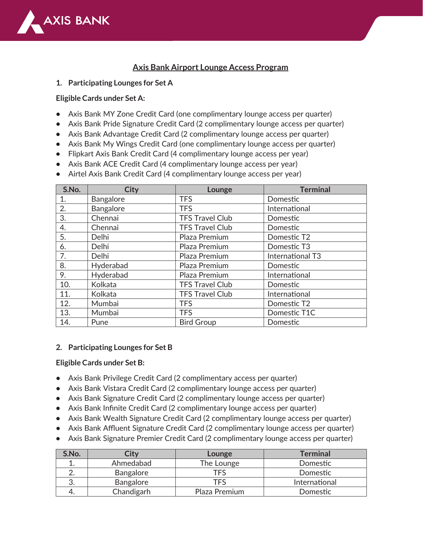

# **Axis Bank Airport Lounge Access Program**

**1. Participating Lounges for Set A** 

### **Eligible Cards under Set A:**

- **•** Axis Bank MY Zone Credit Card (one complimentary lounge access per quarter)
- **•** Axis Bank Pride Signature Credit Card (2 complimentary lounge access per quarter)
- **•** Axis Bank Advantage Credit Card (2 complimentary lounge access per quarter)
- **•** Axis Bank My Wings Credit Card (one complimentary lounge access per quarter)
- **•** Flipkart Axis Bank Credit Card (4 complimentary lounge access per year)
- **•** Axis Bank ACE Credit Card (4 complimentary lounge access per year)
- **•** Airtel Axis Bank Credit Card (4 complimentary lounge access per year)

| S.No. | <b>City</b>      | Lounge                 | <b>Terminal</b>  |
|-------|------------------|------------------------|------------------|
| 1.    | <b>Bangalore</b> | <b>TFS</b>             | Domestic         |
| 2.    | Bangalore        | <b>TFS</b>             | International    |
| 3.    | Chennai          | <b>TFS Travel Club</b> | Domestic         |
| 4.    | Chennai          | <b>TFS Travel Club</b> | Domestic         |
| 5.    | <b>Delhi</b>     | Plaza Premium          | Domestic T2      |
| 6.    | <b>Delhi</b>     | Plaza Premium          | Domestic T3      |
| 7.    | Delhi            | Plaza Premium          | International T3 |
| 8.    | Hyderabad        | Plaza Premium          | Domestic         |
| 9.    | Hyderabad        | Plaza Premium          | International    |
| 10.   | Kolkata          | <b>TFS Travel Club</b> | Domestic         |
| 11.   | Kolkata          | <b>TFS Travel Club</b> | International    |
| 12.   | Mumbai           | <b>TFS</b>             | Domestic T2      |
| 13.   | Mumbai           | <b>TFS</b>             | Domestic T1C     |
| 14.   | Pune             | <b>Bird Group</b>      | Domestic         |

#### **2. Participating Lounges for Set B**

#### **Eligible Cards under Set B:**

- **•** Axis Bank Privilege Credit Card (2 complimentary access per quarter)
- **•** Axis Bank Vistara Credit Card (2 complimentary lounge access per quarter)
- **•** Axis Bank Signature Credit Card (2 complimentary lounge access per quarter)
- **•** Axis Bank Infinite Credit Card (2 complimentary lounge access per quarter)
- **•** Axis Bank Wealth Signature Credit Card (2 complimentary lounge access per quarter)
- **•** Axis Bank Affluent Signature Credit Card (2 complimentary lounge access per quarter)
- **•** Axis Bank Signature Premier Credit Card (2 complimentary lounge access per quarter)

| S.No. | City       | Lounge        | <b>Terminal</b> |
|-------|------------|---------------|-----------------|
|       | Ahmedabad  | The Lounge    | Domestic        |
|       | Bangalore  | TFS           | Domestic        |
|       | Bangalore  | TFS           | International   |
|       | Chandigarh | Plaza Premium | Domestic        |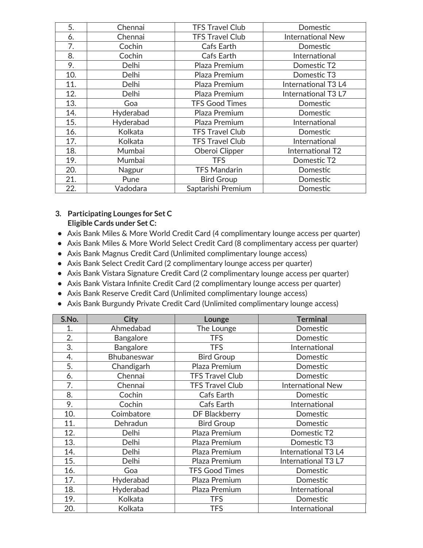| 5.  | Chennai   | <b>TFS Travel Club</b> | Domestic                 |
|-----|-----------|------------------------|--------------------------|
| 6.  | Chennai   | <b>TFS Travel Club</b> | <b>International New</b> |
| 7.  | Cochin    | Cafs Earth             | Domestic                 |
| 8.  | Cochin    | Cafs Earth             | International            |
| 9.  | Delhi     | Plaza Premium          | Domestic T2              |
| 10. | Delhi     | Plaza Premium          | Domestic T3              |
| 11. | Delhi     | Plaza Premium          | International T3 L4      |
| 12. | Delhi     | Plaza Premium          | International T3 L7      |
| 13. | Goa       | <b>TFS Good Times</b>  | Domestic                 |
| 14. | Hyderabad | Plaza Premium          | Domestic                 |
| 15. | Hyderabad | Plaza Premium          | International            |
| 16. | Kolkata   | <b>TFS Travel Club</b> | Domestic                 |
| 17. | Kolkata   | <b>TFS Travel Club</b> | International            |
| 18. | Mumbai    | Oberoi Clipper         | International T2         |
| 19. | Mumbai    | <b>TFS</b>             | Domestic T2              |
| 20. | Nagpur    | <b>TFS Mandarin</b>    | Domestic                 |
| 21. | Pune      | <b>Bird Group</b>      | Domestic                 |
| 22. | Vadodara  | Saptarishi Premium     | Domestic                 |

### **3. Participating Lounges for Set C Eligible Cards under Set C:**

- **•** Axis Bank Miles & More World Credit Card (4 complimentary lounge access per quarter)
- **•** Axis Bank Miles & More World Select Credit Card (8 complimentary access per quarter)
- **•** Axis Bank Magnus Credit Card (Unlimited complimentary lounge access)
- **•** Axis Bank Select Credit Card (2 complimentary lounge access per quarter)
- **•** Axis Bank Vistara Signature Credit Card (2 complimentary lounge access per quarter)
- **•** Axis Bank Vistara Infinite Credit Card (2 complimentary lounge access per quarter)
- **•** Axis Bank Reserve Credit Card (Unlimited complimentary lounge access)
- **•** Axis Bank Burgundy Private Credit Card (Unlimited complimentary lounge access)

| S.No. | <b>City</b> | Lounge                 | <b>Terminal</b>          |
|-------|-------------|------------------------|--------------------------|
| 1.    | Ahmedabad   | The Lounge             | Domestic                 |
| 2.    | Bangalore   | <b>TFS</b>             | Domestic                 |
| 3.    | Bangalore   | <b>TFS</b>             | International            |
| 4.    | Bhubaneswar | <b>Bird Group</b>      | Domestic                 |
| 5.    | Chandigarh  | Plaza Premium          | Domestic                 |
| 6.    | Chennai     | <b>TFS Travel Club</b> | Domestic                 |
| 7.    | Chennai     | <b>TFS Travel Club</b> | <b>International New</b> |
| 8.    | Cochin      | Cafs Earth             | Domestic                 |
| 9.    | Cochin      | Cafs Earth             | International            |
| 10.   | Coimbatore  | <b>DF Blackberry</b>   | Domestic                 |
| 11.   | Dehradun    | <b>Bird Group</b>      | Domestic                 |
| 12.   | Delhi       | Plaza Premium          | Domestic T2              |
| 13.   | Delhi       | Plaza Premium          | Domestic T3              |
| 14.   | Delhi       | Plaza Premium          | International T3 L4      |
| 15.   | Delhi       | Plaza Premium          | International T3 L7      |
| 16.   | Goa         | <b>TFS Good Times</b>  | Domestic                 |
| 17.   | Hyderabad   | Plaza Premium          | Domestic                 |
| 18.   | Hyderabad   | Plaza Premium          | International            |
| 19.   | Kolkata     | <b>TFS</b>             | Domestic                 |
| 20.   | Kolkata     | <b>TFS</b>             | International            |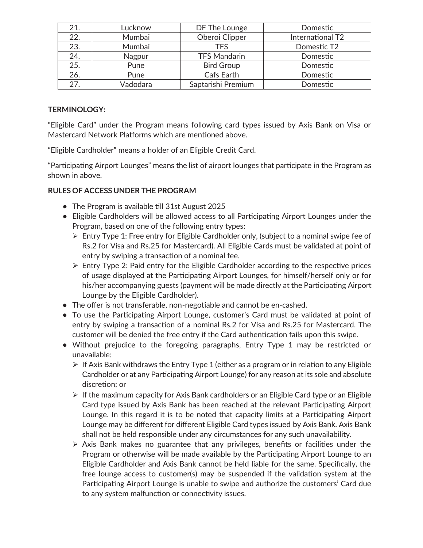| 21. | Lucknow  | DF The Lounge       | Domestic         |
|-----|----------|---------------------|------------------|
| 22. | Mumbai   | Oberoi Clipper      | International T2 |
| 23. | Mumbai   | TFS                 | Domestic T2      |
| 24. | Nagpur   | <b>TFS Mandarin</b> | Domestic         |
| 25. | Pune     | <b>Bird Group</b>   | Domestic         |
| 26. | Pune     | Cafs Earth          | Domestic         |
| 27. | Vadodara | Saptarishi Premium  | Domestic         |

### **TERMINOLOGY:**

"Eligible Card" under the Program means following card types issued by Axis Bank on Visa or Mastercard Network Platforms which are mentioned above.

"Eligible Cardholder" means a holder of an Eligible Credit Card.

"Participating Airport Lounges" means the list of airport lounges that participate in the Program as shown in above.

## **RULES OF ACCESS UNDER THE PROGRAM**

- **•** The Program is available till 31st August 2025
- **•** Eligible Cardholders will be allowed access to all Participating Airport Lounges under the Program, based on one of the following entry types:
	- Entry Type 1: Free entry for Eligible Cardholder only, (subject to a nominal swipe fee of Rs.2 for Visa and Rs.25 for Mastercard). All Eligible Cards must be validated at point of entry by swiping a transaction of a nominal fee.
	- $\triangleright$  Entry Type 2: Paid entry for the Eligible Cardholder according to the respective prices of usage displayed at the Participating Airport Lounges, for himself/herself only or for his/her accompanying guests (payment will be made directly at the Participating Airport Lounge by the Eligible Cardholder).
- **•** The offer is not transferable, non-negotiable and cannot be en-cashed.
- **•** To use the Participating Airport Lounge, customer's Card must be validated at point of entry by swiping a transaction of a nominal Rs.2 for Visa and Rs.25 for Mastercard. The customer will be denied the free entry if the Card authentication fails upon this swipe.
- **•** Without prejudice to the foregoing paragraphs, Entry Type 1 may be restricted or unavailable:
	- $\triangleright$  If Axis Bank withdraws the Entry Type 1 (either as a program or in relation to any Eligible Cardholder or at any Participating Airport Lounge) for any reason at its sole and absolute discretion; or
	- $\triangleright$  If the maximum capacity for Axis Bank cardholders or an Eligible Card type or an Eligible Card type issued by Axis Bank has been reached at the relevant Participating Airport Lounge. In this regard it is to be noted that capacity limits at a Participating Airport Lounge may be different for different Eligible Card types issued by Axis Bank. Axis Bank shall not be held responsible under any circumstances for any such unavailability.
	- $\triangleright$  Axis Bank makes no guarantee that any privileges, benefits or facilities under the Program or otherwise will be made available by the Participating Airport Lounge to an Eligible Cardholder and Axis Bank cannot be held liable for the same. Specifically, the free lounge access to customer(s) may be suspended if the validation system at the Participating Airport Lounge is unable to swipe and authorize the customers' Card due to any system malfunction or connectivity issues.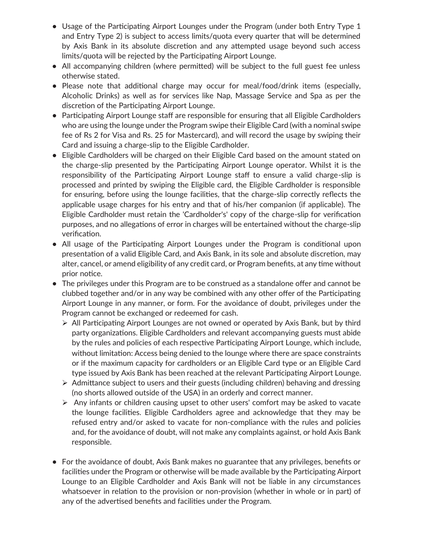- **•** Usage of the Participating Airport Lounges under the Program (under both Entry Type 1 and Entry Type 2) is subject to access limits/quota every quarter that will be determined by Axis Bank in its absolute discretion and any attempted usage beyond such access limits/quota will be rejected by the Participating Airport Lounge.
- **•** All accompanying children (where permitted) will be subject to the full guest fee unless otherwise stated.
- **•** Please note that additional charge may occur for meal/food/drink items (especially, Alcoholic Drinks) as well as for services like Nap, Massage Service and Spa as per the discretion of the Participating Airport Lounge.
- **•** Participating Airport Lounge staff are responsible for ensuring that all Eligible Cardholders who are using the lounge under the Program swipe their Eligible Card (with a nominal swipe fee of Rs 2 for Visa and Rs. 25 for Mastercard), and will record the usage by swiping their Card and issuing a charge-slip to the Eligible Cardholder.
- **•** Eligible Cardholders will be charged on their Eligible Card based on the amount stated on the charge-slip presented by the Participating Airport Lounge operator. Whilst it is the responsibility of the Participating Airport Lounge staff to ensure a valid charge-slip is processed and printed by swiping the Eligible card, the Eligible Cardholder is responsible for ensuring, before using the lounge facilities, that the charge-slip correctly reflects the applicable usage charges for his entry and that of his/her companion (if applicable). The Eligible Cardholder must retain the 'Cardholder's' copy of the charge-slip for verification purposes, and no allegations of error in charges will be entertained without the charge -slip verification.
- **•** All usage of the Participating Airport Lounges under the Program is conditional upon presentation of a valid Eligible Card, and Axis Bank, in its sole and absolute discretion, may alter, cancel, or amend eligibility of any credit card, or Program benefits, at any time without prior notice.
- **•** The privileges under this Program are to be construed as a standalone offer and cannot be clubbed together and/or in any way be combined with any other offer of the Participating Airport Lounge in any manner, or form. For the avoidance of doubt, privileges under the Program cannot be exchanged or redeemed for cash.
	- without limitation: Access being denied to the lounge where there are space constraints or if the maximum capacity for cardholders or an Eligible Card type or an Eligible Card type issued by Axis Bank has been reached at the relevant Participating Airport Lounge.  $\triangleright$  All Participating Airport Lounges are not owned or operated by Axis Bank, but by third party organizations. Eligible Cardholders and relevant accompanying guests must abide by the rules and policies of each respective Participating Airport Lounge, which include,
	- $\triangleright$  Admittance subject to users and their guests (including children) behaving and dressing (no shorts allowed outside of the USA) in an orderly and correct manner.
	- $\triangleright$  Any infants or children causing upset to other users' comfort may be asked to vacate the lounge facilities. Eligible Cardholders agree and acknowledge that they may be refused entry and/or asked to vacate for non-compliance with the rules and policies and, for the avoidance of doubt, will not make any complaints against, or hold Axis Bank responsible.
- **•** For the avoidance of doubt, Axis Bank makes no guarantee that any privileges, benefits or facilities under the Program or otherwise will be made available by the Participating Airport Lounge to an Eligible Cardholder and Axis Bank will not be liable in any circumstances whatsoever in relation to the provision or non-provision (whether in whole or in part) of any of the advertised benefits and facilities under the Program.